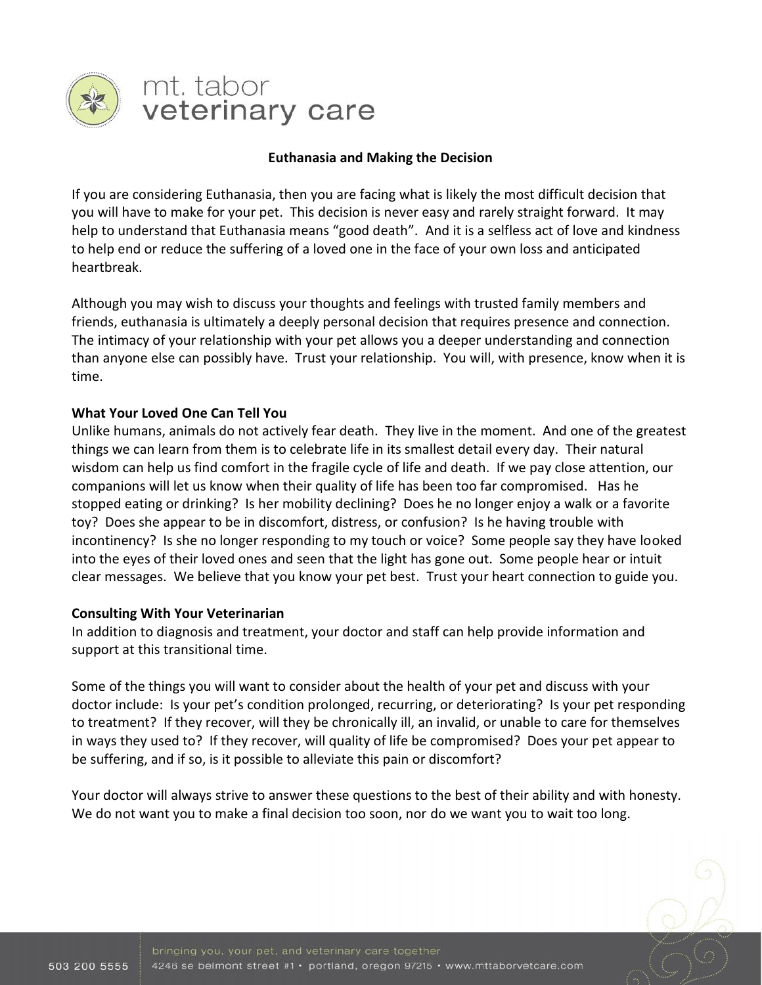

# mt. tabor veterinary care

## **Euthanasia and Making the Decision**

If you are considering Euthanasia, then you are facing what is likely the most difficult decision that you will have to make for your pet. This decision is never easy and rarely straight forward. It may help to understand that Euthanasia means "good death". And it is a selfless act of love and kindness to help end or reduce the suffering of a loved one in the face of your own loss and anticipated heartbreak.

Although you may wish to discuss your thoughts and feelings with trusted family members and friends, euthanasia is ultimately a deeply personal decision that requires presence and connection. The intimacy of your relationship with your pet allows you a deeper understanding and connection than anyone else can possibly have. Trust your relationship. You will, with presence, know when it is time.

## **What Your Loved One Can Tell You**

Unlike humans, animals do not actively fear death. They live in the moment. And one of the greatest things we can learn from them is to celebrate life in its smallest detail every day. Their natural wisdom can help us find comfort in the fragile cycle of life and death. If we pay close attention, our companions will let us know when their quality of life has been too far compromised. Has he stopped eating or drinking? Is her mobility declining? Does he no longer enjoy a walk or a favorite toy? Does she appear to be in discomfort, distress, or confusion? Is he having trouble with incontinency? Is she no longer responding to my touch or voice? Some people say they have looked into the eyes of their loved ones and seen that the light has gone out. Some people hear or intuit clear messages. We believe that you know your pet best. Trust your heart connection to guide you.

### **Consulting With Your Veterinarian**

In addition to diagnosis and treatment, your doctor and staff can help provide information and support at this transitional time.

Some of the things you will want to consider about the health of your pet and discuss with your doctor include: Is your pet's condition prolonged, recurring, or deteriorating? Is your pet responding to treatment? If they recover, will they be chronically ill, an invalid, or unable to care for themselves in ways they used to? If they recover, will quality of life be compromised? Does your pet appear to be suffering, and if so, is it possible to alleviate this pain or discomfort?

Your doctor will always strive to answer these questions to the best of their ability and with honesty. We do not want you to make a final decision too soon, nor do we want you to wait too long.